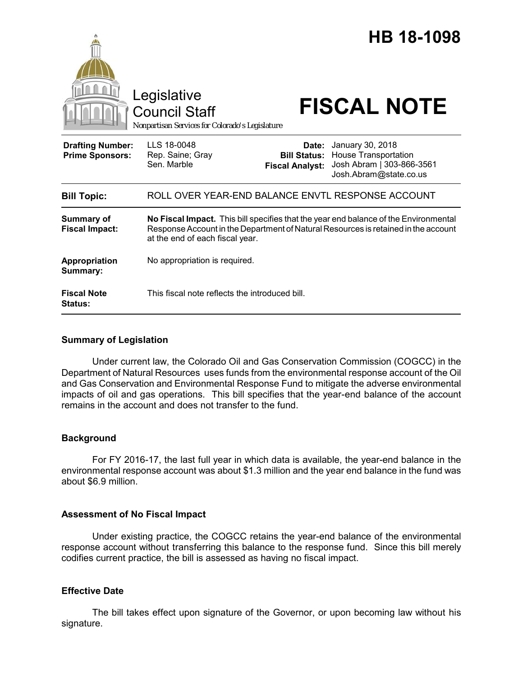|                                                   | Legislative<br><b>Council Staff</b><br>Nonpartisan Services for Colorado's Legislature                                                                                                                        |                                                        | HB 18-1098<br><b>FISCAL NOTE</b>                                                                       |
|---------------------------------------------------|---------------------------------------------------------------------------------------------------------------------------------------------------------------------------------------------------------------|--------------------------------------------------------|--------------------------------------------------------------------------------------------------------|
| <b>Drafting Number:</b><br><b>Prime Sponsors:</b> | LLS 18-0048<br>Rep. Saine; Gray<br>Sen. Marble                                                                                                                                                                | Date:<br><b>Bill Status:</b><br><b>Fiscal Analyst:</b> | January 30, 2018<br><b>House Transportation</b><br>Josh Abram   303-866-3561<br>Josh.Abram@state.co.us |
| <b>Bill Topic:</b>                                | ROLL OVER YEAR-END BALANCE ENVTL RESPONSE ACCOUNT                                                                                                                                                             |                                                        |                                                                                                        |
| <b>Summary of</b><br><b>Fiscal Impact:</b>        | No Fiscal Impact. This bill specifies that the year end balance of the Environmental<br>Response Account in the Department of Natural Resources is retained in the account<br>at the end of each fiscal year. |                                                        |                                                                                                        |
| <b>Appropriation</b><br>Summary:                  | No appropriation is required.                                                                                                                                                                                 |                                                        |                                                                                                        |
| <b>Fiscal Note</b><br><b>Status:</b>              | This fiscal note reflects the introduced bill.                                                                                                                                                                |                                                        |                                                                                                        |

## **Summary of Legislation**

Under current law, the Colorado Oil and Gas Conservation Commission (COGCC) in the Department of Natural Resources uses funds from the environmental response account of the Oil and Gas Conservation and Environmental Response Fund to mitigate the adverse environmental impacts of oil and gas operations. This bill specifies that the year-end balance of the account remains in the account and does not transfer to the fund.

## **Background**

For FY 2016-17, the last full year in which data is available, the year-end balance in the environmental response account was about \$1.3 million and the year end balance in the fund was about \$6.9 million.

## **Assessment of No Fiscal Impact**

Under existing practice, the COGCC retains the year-end balance of the environmental response account without transferring this balance to the response fund. Since this bill merely codifies current practice, the bill is assessed as having no fiscal impact.

## **Effective Date**

The bill takes effect upon signature of the Governor, or upon becoming law without his signature.